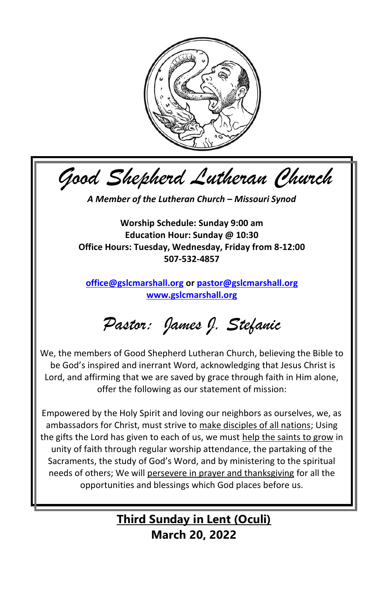

*Good Shepherd Lutheran Church*

*A Member of the Lutheran Church – Missouri Synod*

**Worship Schedule: Sunday 9:00 am Education Hour: Sunday @ 10:30 Office Hours: Tuesday, Wednesday, Friday from 8-12:00 507-532-4857**

**[office@gslcmarshall.org](mailto:office@gslcmarshall.org) or [pastor@gslcmarshall.org](mailto:pastor@gslcmarshall.org) [www.gslcmarshall.org](http://www.gslcmarshall.org/)**

*Pastor: James J. Stefanic*

We, the members of Good Shepherd Lutheran Church, believing the Bible to be God's inspired and inerrant Word, acknowledging that Jesus Christ is Lord, and affirming that we are saved by grace through faith in Him alone, offer the following as our statement of mission:

Empowered by the Holy Spirit and loving our neighbors as ourselves, we, as ambassadors for Christ, must strive to make disciples of all nations; Using the gifts the Lord has given to each of us, we must help the saints to grow in unity of faith through regular worship attendance, the partaking of the Sacraments, the study of God's Word, and by ministering to the spiritual needs of others; We will persevere in prayer and thanksgiving for all the opportunities and blessings which God places before us.

> **Third Sunday in Lent (Oculi) March 20, 2022**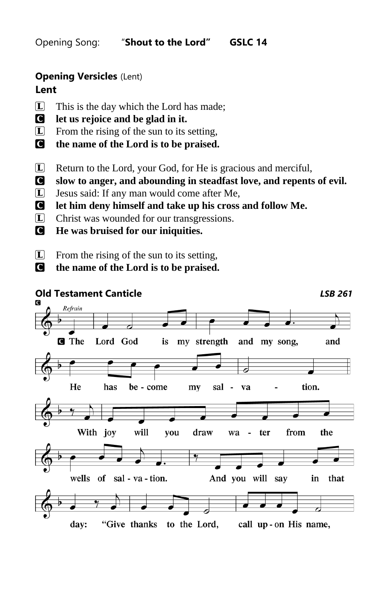Opening Song: "**Shout to the Lord" GSLC 14**

## **Opening Versicles** (Lent) **Lent**

# $\Box$  This is the day which the Lord has made;

- C **let us rejoice and be glad in it.**
- L From the rising of the sun to its setting,
- C **the name of the Lord is to be praised.**
- L Return to the Lord, your God, for He is gracious and merciful,
- C **slow to anger, and abounding in steadfast love, and repents of evil.**
- L Jesus said: If any man would come after Me,
- C **let him deny himself and take up his cross and follow Me.**
- L Christ was wounded for our transgressions.
- C **He was bruised for our iniquities.**
- $\Box$  From the rising of the sun to its setting,
- C **the name of the Lord is to be praised.**

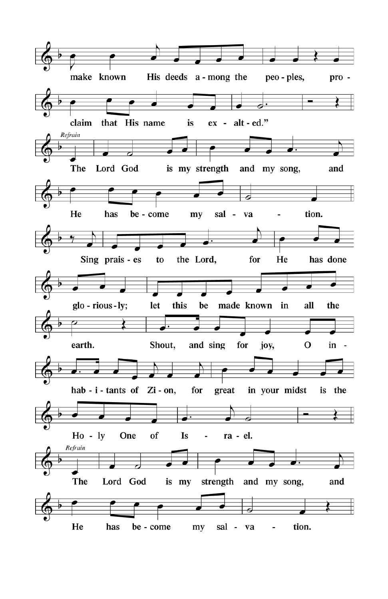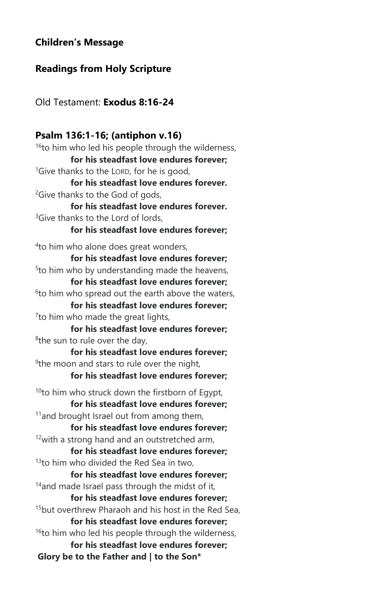## **Children's Message**

## **Readings from Holy Scripture**

Old Testament: **Exodus 8:16-24**

## **Psalm 136:1-16; (antiphon v.16)**

<sup>16</sup>to him who led his people through the wilderness, **for his steadfast love endures forever;** <sup>1</sup>Give thanks to the LORD, for he is good, **for his steadfast love endures forever.** <sup>2</sup>Give thanks to the God of gods. **for his steadfast love endures forever.** <sup>3</sup>Give thanks to the Lord of lords **for his steadfast love endures forever;** 4 to him who alone does great wonders, **for his steadfast love endures forever;** <sup>5</sup>to him who by understanding made the heavens, **for his steadfast love endures forever;**  $6$ to him who spread out the earth above the waters, **for his steadfast love endures forever;** <sup>7</sup> to him who made the great lights, **for his steadfast love endures forever;** <sup>8</sup>the sun to rule over the day, **for his steadfast love endures forever;** <sup>9</sup>the moon and stars to rule over the night, **for his steadfast love endures forever;**  $10$ to him who struck down the firstborn of Eqypt, **for his steadfast love endures forever;** <sup>11</sup> and brought Israel out from among them, **for his steadfast love endures forever;**  $12$ with a strong hand and an outstretched arm, **for his steadfast love endures forever;**  $13$ to him who divided the Red Sea in two, **for his steadfast love endures forever;**  $14$ and made Israel pass through the midst of it, **for his steadfast love endures forever;** <sup>15</sup>but overthrew Pharaoh and his host in the Red Sea, **for his steadfast love endures forever;** <sup>16</sup>to him who led his people through the wilderness, **for his steadfast love endures forever; Glory be to the Father and | to the Son\***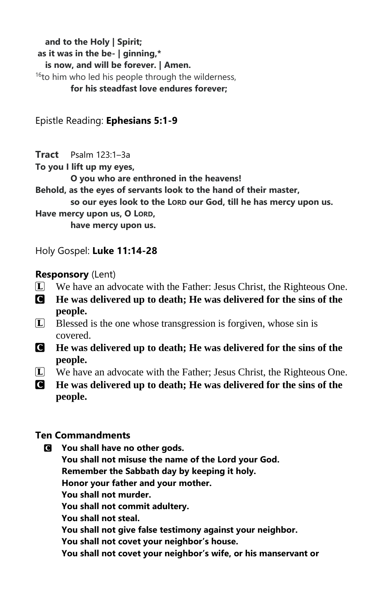**and to the Holy | Spirit; as it was in the be- | ginning,\* is now, and will be forever. | Amen.**  <sup>16</sup>to him who led his people through the wilderness, **for his steadfast love endures forever;**

Epistle Reading: **Ephesians 5:1-9**

**Tract** Psalm 123:1–3a

**To you I lift up my eyes,**

**O you who are enthroned in the heavens!**

**Behold, as the eyes of servants look to the hand of their master,**

**so our eyes look to the LORD our God, till he has mercy upon us.**

**Have mercy upon us, O LORD,**

**have mercy upon us.**

Holy Gospel: **Luke 11:14-28**

## **Responsory** (Lent)

- $\boxed{\mathbf{L}}$  We have an advocate with the Father: Jesus Christ, the Righteous One.
- C **He was delivered up to death; He was delivered for the sins of the people.**
- L Blessed is the one whose transgression is forgiven, whose sin is covered.
- C **He was delivered up to death; He was delivered for the sins of the people.**
- L We have an advocate with the Father; Jesus Christ, the Righteous One.
- C **He was delivered up to death; He was delivered for the sins of the people.**

## **Ten Commandments**

- C **You shall have no other gods.**
	- **You shall not misuse the name of the Lord your God.**

**Remember the Sabbath day by keeping it holy.**

**Honor your father and your mother.**

**You shall not murder.**

**You shall not commit adultery.**

**You shall not steal.**

**You shall not give false testimony against your neighbor.**

**You shall not covet your neighbor's house.**

**You shall not covet your neighbor's wife, or his manservant or**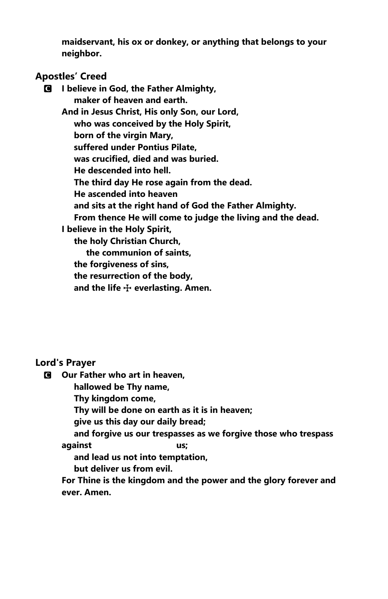**maidservant, his ox or donkey, or anything that belongs to your neighbor.**

### **Apostles' Creed**

C **I believe in God, the Father Almighty, maker of heaven and earth. And in Jesus Christ, His only Son, our Lord, who was conceived by the Holy Spirit, born of the virgin Mary, suffered under Pontius Pilate, was crucified, died and was buried. He descended into hell. The third day He rose again from the dead. He ascended into heaven and sits at the right hand of God the Father Almighty. From thence He will come to judge the living and the dead. I believe in the Holy Spirit, the holy Christian Church, the communion of saints, the forgiveness of sins, the resurrection of the body,** and the life  $\div$  everlasting. Amen.

#### **Lord's Prayer**

C **Our Father who art in heaven,**

 **hallowed be Thy name,**

 **Thy kingdom come,**

 **Thy will be done on earth as it is in heaven;**

 **give us this day our daily bread;**

 **and forgive us our trespasses as we forgive those who trespass against us;**

 **and lead us not into temptation,**

 **but deliver us from evil.**

**For Thine is the kingdom and the power and the glory forever and ever. Amen.**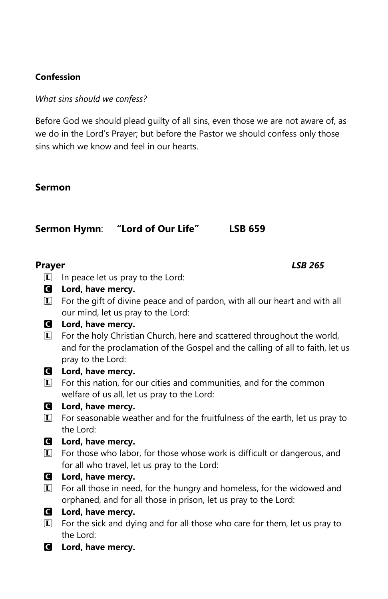## **Confession**

*What sins should we confess?*

Before God we should plead guilty of all sins, even those we are not aware of, as we do in the Lord's Prayer; but before the Pastor we should confess only those sins which we know and feel in our hearts.

## **Sermon**

**Sermon Hymn**: **"Lord of Our Life" LSB 659**

**Prayer** *LSB 265*

- $\Box$  In peace let us pray to the Lord:
- C **Lord, have mercy.**
- $\mathbb{L}$  For the gift of divine peace and of pardon, with all our heart and with all our mind, let us pray to the Lord:
- C **Lord, have mercy.**
- L For the holy Christian Church, here and scattered throughout the world, and for the proclamation of the Gospel and the calling of all to faith, let us pray to the Lord:
- C **Lord, have mercy.**
- **L** For this nation, for our cities and communities, and for the common welfare of us all, let us pray to the Lord:

## C **Lord, have mercy.**

- L For seasonable weather and for the fruitfulness of the earth, let us pray to the Lord:
- C **Lord, have mercy.**
- **L** For those who labor, for those whose work is difficult or dangerous, and for all who travel, let us pray to the Lord:
- C **Lord, have mercy.**
- $\Box$  For all those in need, for the hungry and homeless, for the widowed and orphaned, and for all those in prison, let us pray to the Lord:
- C **Lord, have mercy.**
- $\Box$  For the sick and dying and for all those who care for them, let us pray to the Lord:
- C **Lord, have mercy.**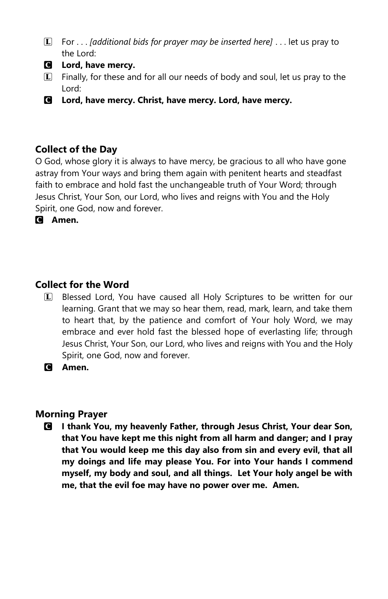- L For . . . *[additional bids for prayer may be inserted here]* . . . let us pray to the Lord:
- C **Lord, have mercy.**
- $\Box$  Finally, for these and for all our needs of body and soul, let us pray to the Lord:
- C **Lord, have mercy. Christ, have mercy. Lord, have mercy.**

## **Collect of the Day**

O God, whose glory it is always to have mercy, be gracious to all who have gone astray from Your ways and bring them again with penitent hearts and steadfast faith to embrace and hold fast the unchangeable truth of Your Word; through Jesus Christ, Your Son, our Lord, who lives and reigns with You and the Holy Spirit, one God, now and forever.

C **Amen.**

## **Collect for the Word**

**L** Blessed Lord, You have caused all Holy Scriptures to be written for our learning. Grant that we may so hear them, read, mark, learn, and take them to heart that, by the patience and comfort of Your holy Word, we may embrace and ever hold fast the blessed hope of everlasting life; through Jesus Christ, Your Son, our Lord, who lives and reigns with You and the Holy Spirit, one God, now and forever.

C **Amen.**

## **Morning Prayer**

C **I thank You, my heavenly Father, through Jesus Christ, Your dear Son, that You have kept me this night from all harm and danger; and I pray that You would keep me this day also from sin and every evil, that all my doings and life may please You. For into Your hands I commend myself, my body and soul, and all things. Let Your holy angel be with me, that the evil foe may have no power over me. Amen.**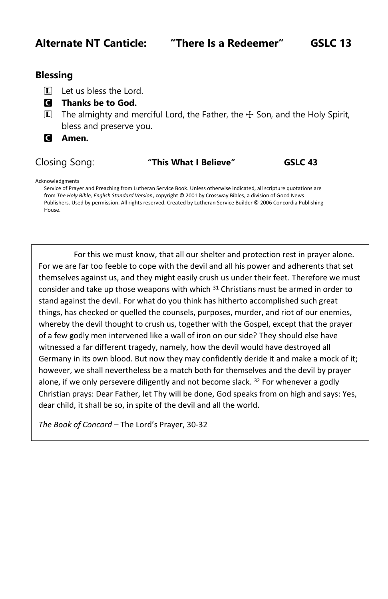## **Alternate NT Canticle: "There Is a Redeemer" GSLC 13**

## **Blessing**

- $\Box$  Let us bless the Lord.
- C **Thanks be to God.**
- $\Box$  The almighty and merciful Lord, the Father, the  $\pm$  Son, and the Holy Spirit, bless and preserve you.
- C **Amen.**

#### Closing Song: **"This What I Believe" GSLC 43**

Acknowledgments

Service of Prayer and Preaching from Lutheran Service Book. Unless otherwise indicated, all scripture quotations are from *The Holy Bible, English Standard Version*, copyright © 2001 by Crossway Bibles, a division of Good News Publishers. Used by permission. All rights reserved. Created by Lutheran Service Builder © 2006 Concordia Publishing House.

For this we must know, that all our shelter and protection rest in prayer alone. For we are far too feeble to cope with the devil and all his power and adherents that set themselves against us, and they might easily crush us under their feet. Therefore we must consider and take up those weapons with which <sup>31</sup> Christians must be armed in order to stand against the devil. For what do you think has hitherto accomplished such great things, has checked or quelled the counsels, purposes, murder, and riot of our enemies, whereby the devil thought to crush us, together with the Gospel, except that the prayer of a few godly men intervened like a wall of iron on our side? They should else have witnessed a far different tragedy, namely, how the devil would have destroyed all Germany in its own blood. But now they may confidently deride it and make a mock of it; however, we shall nevertheless be a match both for themselves and the devil by prayer alone, if we only persevere diligently and not become slack.  $32$  For whenever a godly Christian prays: Dear Father, let Thy will be done, God speaks from on high and says: Yes, dear child, it shall be so, in spite of the devil and all the world.

*The Book of Concord* – The Lord's Prayer, 30-32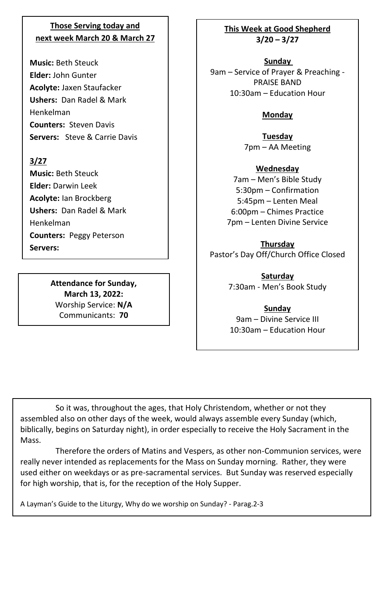## **Those Serving today and next week March 20 & March 27**

**Music:** Beth Steuck **Elder:** John Gunter **Acolyte:** Jaxen Staufacker **Ushers:** Dan Radel & Mark Henkelman **Counters:** Steven Davis **Servers:** Steve & Carrie Davis

#### **3/27**

**Music:** Beth Steuck **Elder:** Darwin Leek **Acolyte:** Ian Brockberg **Ushers:** Dan Radel & Mark Henkelman **Counters:** Peggy Peterson **Servers:** 

> **Attendance for Sunday, March 13, 2022:** Worship Service: **N/A** Communicants: **70**

### **This Week at Good Shepherd 3/20 – 3/27**

**Sunday**  9am – Service of Prayer & Preaching - PRAISE BAND 10:30am – Education Hour

## **Monday**

**Tuesday** 7pm – AA Meeting

#### **Wednesday**

7am – Men's Bible Study 5:30pm – Confirmation 5:45pm – Lenten Meal 6:00pm – Chimes Practice 7pm – Lenten Divine Service

#### **Thursday**

Pastor's Day Off/Church Office Closed

**Saturday** 7:30am - Men's Book Study

**Sunday** 9am – Divine Service III 10:30am – Education Hour

So it was, throughout the ages, that Holy Christendom, whether or not they assembled also on other days of the week, would always assemble every Sunday (which, biblically, begins on Saturday night), in order especially to receive the Holy Sacrament in the Mass.

Therefore the orders of Matins and Vespers, as other non-Communion services, were really never intended as replacements for the Mass on Sunday morning. Rather, they were used either on weekdays or as pre-sacramental services. But Sunday was reserved especially for high worship, that is, for the reception of the Holy Supper.

A Layman's Guide to the Liturgy, Why do we worship on Sunday? - Parag.2-3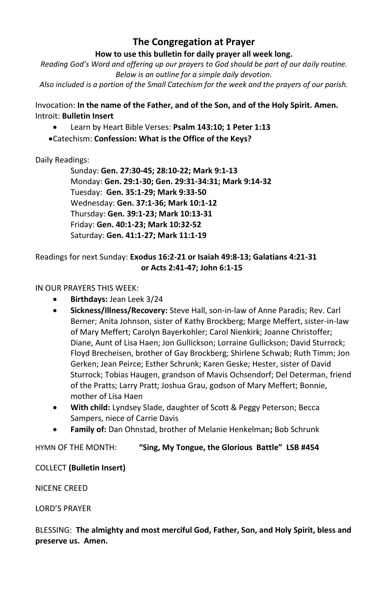## **The Congregation at Prayer**

#### **How to use this bulletin for daily prayer all week long.**

*Reading God's Word and offering up our prayers to God should be part of our daily routine. Below is an outline for a simple daily devotion.*

*Also included is a portion of the Small Catechism for the week and the prayers of our parish.*

Invocation: **In the name of the Father, and of the Son, and of the Holy Spirit. Amen.** Introit: **Bulletin Insert**

- Learn by Heart Bible Verses: **Psalm 143:10; 1 Peter 1:13**
- •Catechism: **Confession: What is the Office of the Keys?**

### Daily Readings:

Sunday: **Gen. 27:30-45; 28:10-22; Mark 9:1-13** Monday: **Gen. 29:1-30; Gen. 29:31-34:31; Mark 9:14-32** Tuesday: **Gen. 35:1-29; Mark 9:33-50** Wednesday: **Gen. 37:1-36; Mark 10:1-12** Thursday: **Gen. 39:1-23; Mark 10:13-31** Friday: **Gen. 40:1-23; Mark 10:32-52** Saturday: **Gen. 41:1-27; Mark 11:1-19**

#### Readings for next Sunday: **Exodus 16:2-21 or Isaiah 49:8-13; Galatians 4:21-31 or Acts 2:41-47; John 6:1-15**

#### IN OUR PRAYERS THIS WEEK:

- **Birthdays:** Jean Leek 3/24
- **Sickness/Illness/Recovery:** Steve Hall, son-in-law of Anne Paradis; Rev. Carl Berner; Anita Johnson, sister of Kathy Brockberg; Marge Meffert, sister-in-law of Mary Meffert; Carolyn Bayerkohler; Carol Nienkirk; Joanne Christoffer; Diane, Aunt of Lisa Haen; Jon Gullickson; Lorraine Gullickson; David Sturrock; Floyd Brecheisen, brother of Gay Brockberg; Shirlene Schwab; Ruth Timm; Jon Gerken; Jean Peirce; Esther Schrunk; Karen Geske; Hester, sister of David Sturrock; Tobias Haugen, grandson of Mavis Ochsendorf; Del Determan, friend of the Pratts; Larry Pratt; Joshua Grau, godson of Mary Meffert; Bonnie, mother of Lisa Haen
- **With child:** Lyndsey Slade, daughter of Scott & Peggy Peterson; Becca Sampers, niece of Carrie Davis
- **Family of:** Dan Ohnstad, brother of Melanie Henkelman**;** Bob Schrunk

HYMN OF THE MONTH: **"Sing, My Tongue, the Glorious Battle" LSB #454**

#### COLLECT **(Bulletin Insert)**

NICENE CREED

LORD'S PRAYER

BLESSING: **The almighty and most merciful God, Father, Son, and Holy Spirit, bless and preserve us. Amen.**